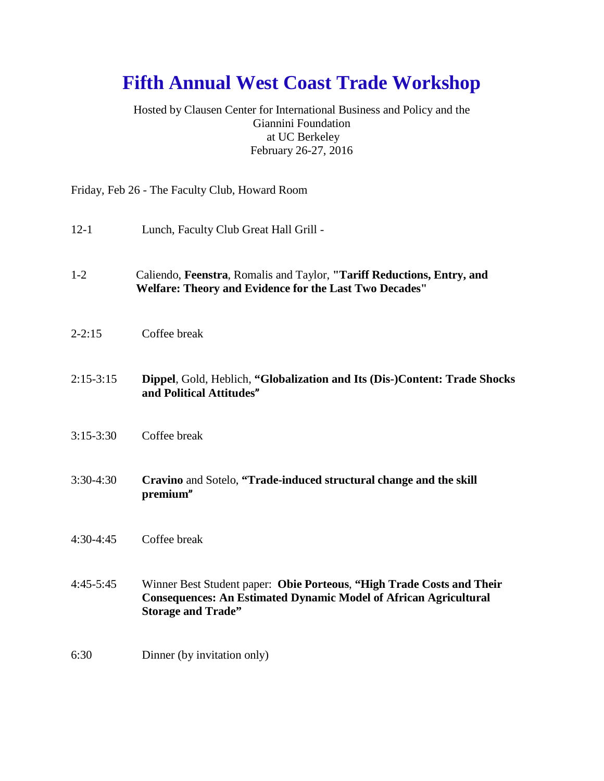## **Fifth Annual West Coast Trade Workshop**

Hosted by Clausen Center for International Business and Policy and the Giannini Foundation at UC Berkeley February 26-27, 2016

Friday, Feb 26 - The Faculty Club, Howard Room

- 12-1 Lunch, Faculty Club Great Hall Grill -
- 1-2 Caliendo, **Feenstra**, Romalis and Taylor, **"Tariff Reductions, Entry, and Welfare: Theory and Evidence for the Last Two Decades"**
- 2-2:15 Coffee break
- 2:15-3:15 **Dippel**, Gold, Heblich, **"Globalization and Its (Dis-)Content: Trade Shocks and Political Attitudes**"
- 3:15-3:30 Coffee break
- 3:30-4:30 **Cravino** and Sotelo, **"Trade-induced structural change and the skill premium**"
- 4:30-4:45 Coffee break
- 4:45-5:45 Winner Best Student paper: **Obie Porteous**, **"High Trade Costs and Their Consequences: An Estimated Dynamic Model of African Agricultural Storage and Trade"**
- 6:30 Dinner (by invitation only)